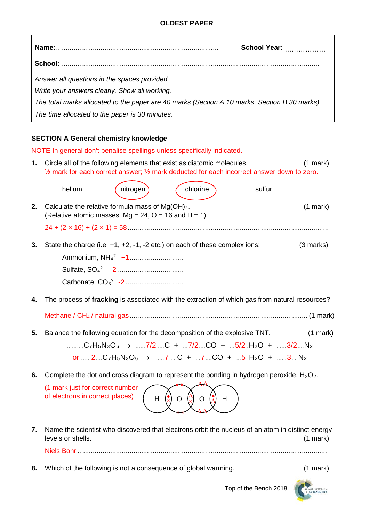|                                                                                              | <b>School Year:</b> |
|----------------------------------------------------------------------------------------------|---------------------|
|                                                                                              |                     |
| Answer all questions in the spaces provided.                                                 |                     |
| Write your answers clearly. Show all working.                                                |                     |
| The total marks allocated to the paper are 40 marks (Section A 10 marks, Section B 30 marks) |                     |
| The time allocated to the paper is 30 minutes.                                               |                     |

## **SECTION A General chemistry knowledge**

 $\overline{1}$ 

|    |                                                                                                              |          | NOTE In general don't penalise spellings unless specifically indicated.                                                                                                                                                                                                                                                             |        |               |
|----|--------------------------------------------------------------------------------------------------------------|----------|-------------------------------------------------------------------------------------------------------------------------------------------------------------------------------------------------------------------------------------------------------------------------------------------------------------------------------------|--------|---------------|
| 1. |                                                                                                              |          | Circle all of the following elements that exist as diatomic molecules.<br>1/2 mark for each correct answer; 1/2 mark deducted for each incorrect answer down to zero.                                                                                                                                                               |        | $(1$ mark $)$ |
|    | helium                                                                                                       | nitrogen | chlorine                                                                                                                                                                                                                                                                                                                            | sulfur |               |
| 2. | Calculate the relative formula mass of $Mg(OH)2$ .<br>(Relative atomic masses: $Mg = 24$ , O = 16 and H = 1) |          |                                                                                                                                                                                                                                                                                                                                     |        | $(1$ mark)    |
|    |                                                                                                              |          |                                                                                                                                                                                                                                                                                                                                     |        |               |
| 3. |                                                                                                              |          | State the charge (i.e. $+1$ , $+2$ , $-1$ , $-2$ etc.) on each of these complex ions;                                                                                                                                                                                                                                               |        | (3 marks)     |
|    |                                                                                                              |          |                                                                                                                                                                                                                                                                                                                                     |        |               |
|    |                                                                                                              |          |                                                                                                                                                                                                                                                                                                                                     |        |               |
| 4. |                                                                                                              |          | The process of fracking is associated with the extraction of which gas from natural resources?                                                                                                                                                                                                                                      |        |               |
|    |                                                                                                              |          |                                                                                                                                                                                                                                                                                                                                     |        |               |
| 5. |                                                                                                              |          | Balance the following equation for the decomposition of the explosive TNT.<br>C <sub>7</sub> H <sub>5</sub> N <sub>3</sub> O <sub>6</sub> → 7/2 C + 7/2 CO + 5/2 H <sub>2</sub> O + 3/2 N <sub>2</sub><br>or  2 C7H <sub>5</sub> N <sub>3</sub> O <sub>6</sub> $\rightarrow$ 7  C +  7 CO +  5.H <sub>2</sub> O +  3 N <sub>2</sub> |        | $(1$ mark $)$ |
| 6. |                                                                                                              |          | Complete the dot and cross diagram to represent the bonding in hydrogen peroxide, $H_2O_2$ .                                                                                                                                                                                                                                        |        |               |
|    | (1 mark just for correct number<br>of electrons in correct places)                                           | H        | H<br>O<br>O                                                                                                                                                                                                                                                                                                                         |        |               |
| 7. | levels or shells.                                                                                            |          | Name the scientist who discovered that electrons orbit the nucleus of an atom in distinct energy                                                                                                                                                                                                                                    |        | $(1$ mark $)$ |
|    |                                                                                                              |          |                                                                                                                                                                                                                                                                                                                                     |        |               |

**8.** Which of the following is not a consequence of global warming. (1 mark)

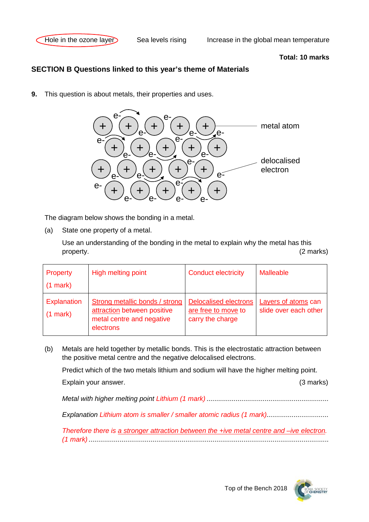

## **Total: 10 marks**

## **SECTION B Questions linked to this year's theme of Materials**

**9.** This question is about metals, their properties and uses.



The diagram below shows the bonding in a metal.

(a) State one property of a metal.

Use an understanding of the bonding in the metal to explain why the metal has this property. (2 marks)

| Property<br>$(1 \text{ mark})$   | High melting point                                                                                             | <b>Conduct electricity</b>                                              | <b>Malleable</b>                             |
|----------------------------------|----------------------------------------------------------------------------------------------------------------|-------------------------------------------------------------------------|----------------------------------------------|
| <b>Explanation</b><br>$(1$ mark) | <b>Strong metallic bonds / strong</b><br>attraction between positive<br>metal centre and negative<br>electrons | <b>Delocalised electrons</b><br>are free to move to<br>carry the charge | Layers of atoms can<br>slide over each other |

(b) Metals are held together by metallic bonds. This is the electrostatic attraction between the positive metal centre and the negative delocalised electrons.

Predict which of the two metals lithium and sodium will have the higher melting point.

Explain your answer. (3 marks)

*Metal with higher melting point Lithium (1 mark) ...............................................................*

*Explanation Lithium atom is smaller / smaller atomic radius (1 mark)................................*

*Therefore there is a stronger attraction between the +ive metal centre and –ive electron. (1 mark) ............................................................................................................................*



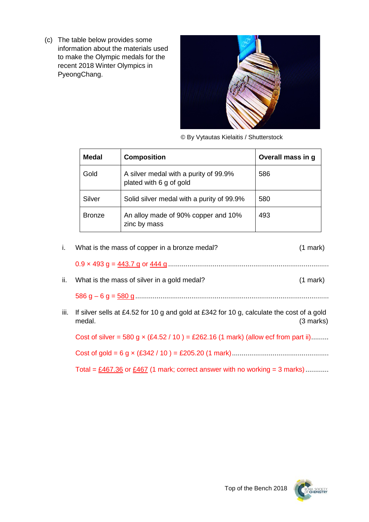(c) The table below provides some information about the materials used to make the Olympic medals for the recent 2018 Winter Olympics in PyeongChang.



© By Vytautas Kielaitis / Shutterstock

| <b>Medal</b>  | <b>Composition</b>                                               | Overall mass in g |
|---------------|------------------------------------------------------------------|-------------------|
| Gold          | A silver medal with a purity of 99.9%<br>plated with 6 g of gold | 586               |
| Silver        | Solid silver medal with a purity of 99.9%                        | 580               |
| <b>Bronze</b> | An alloy made of 90% copper and 10%<br>zinc by mass              | 493               |

|      | What is the mass of copper in a bronze medal?                                                       | $(1$ mark)    |
|------|-----------------------------------------------------------------------------------------------------|---------------|
|      |                                                                                                     |               |
| ii.  | What is the mass of silver in a gold medal?                                                         | $(1$ mark $)$ |
|      |                                                                                                     |               |
| iii. | If silver sells at £4.52 for 10 g and gold at £342 for 10 g, calculate the cost of a gold<br>medal. | $(3$ marks)   |

Cost of silver = 580 g  $\times$  (£4.52 / 10) = £262.16 (1 mark) (allow ecf from part ii).........

Cost of gold = 6 g × (£342 / 10 ) = £205.20 (1 mark)..................................................

Total =  $\underline{\text{£467.36}}$  or  $\underline{\text{£467}}$  (1 mark; correct answer with no working = 3 marks)............

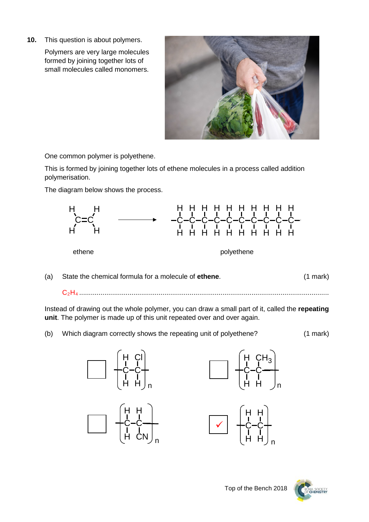**10.** This question is about polymers.

Polymers are very large molecules formed by joining together lots of small molecules called monomers.



One common polymer is polyethene.

This is formed by joining together lots of ethene molecules in a process called addition polymerisation.

The diagram below shows the process.



(a) State the chemical formula for a molecule of **ethene**. (1 mark)

C2H4 .................................................................................................................................

Instead of drawing out the whole polymer, you can draw a small part of it, called the **repeating unit**. The polymer is made up of this unit repeated over and over again.

(b) Which diagram correctly shows the repeating unit of polyethene? (1 mark)







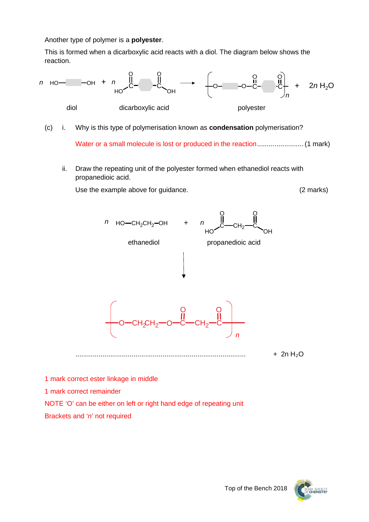Another type of polymer is a **polyester**.

This is formed when a dicarboxylic acid reacts with a diol. The diagram below shows the reaction.



(c) i. Why is this type of polymerisation known as **condensation** polymerisation?

Water or a small molecule is lost or produced in the reaction........................ (1 mark)

ii. Draw the repeating unit of the polyester formed when ethanediol reacts with propanedioic acid.

Use the example above for guidance. (2 marks)





Top of the Bench 2018

1 mark correct ester linkage in middle 1 mark correct remainder NOTE 'O' can be either on left or right hand edge of repeating unit Brackets and '*n*' not required

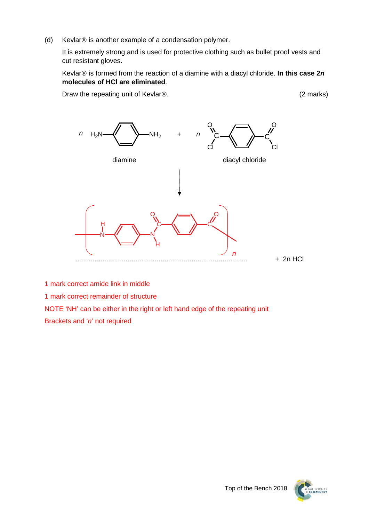(d) Kevlar $\circledR$  is another example of a condensation polymer.

It is extremely strong and is used for protective clothing such as bullet proof vests and cut resistant gloves.

Kevlar<sup>®</sup> is formed from the reaction of a diamine with a diacyl chloride. In this case 2*n* **molecules of HCl are eliminated**.

Draw the repeating unit of Kevlar<sup>®</sup>. (2 marks)



1 mark correct amide link in middle

1 mark correct remainder of structure

NOTE 'NH' can be either in the right or left hand edge of the repeating unit

Brackets and '*n*' not required



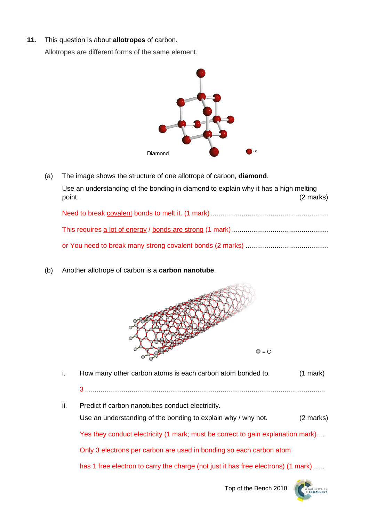**11**. This question is about **allotropes** of carbon.

Allotropes are different forms of the same element.



- (a) The image shows the structure of one allotrope of carbon, **diamond**. Use an understanding of the bonding in diamond to explain why it has a high melting point. (2 marks) Need to break covalent bonds to melt it. (1 mark) ............................................................. This requires a lot of energy / bonds are strong (1 mark) .................................................. or You need to break many strong covalent bonds (2 marks) ...........................................
- (b) Another allotrope of carbon is a **carbon nanotube**.



i. How many other carbon atoms is each carbon atom bonded to. (1 mark) 3 ............................................................................................................................ ii. Predict if carbon nanotubes conduct electricity. Use an understanding of the bonding to explain why / why not. (2 marks) Yes they conduct electricity (1 mark; must be correct to gain explanation mark).... Only 3 electrons per carbon are used in bonding so each carbon atom has 1 free electron to carry the charge (not just it has free electrons) (1 mark) ......

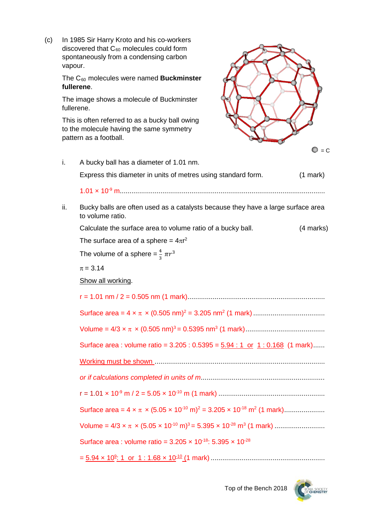(c) In 1985 Sir Harry Kroto and his co-workers discovered that  $C_{60}$  molecules could form spontaneously from a condensing carbon vapour.

> The C60 molecules were named **Buckminster fullerene**.

The image shows a molecule of Buckminster fullerene.

This is often referred to as a bucky ball owing to the molecule having the same symmetry pattern as a football.



i. A bucky ball has a diameter of 1.01 nm. Express this diameter in units of metres using standard form. (1 mark) 1.01 × 10-9 m.......................................................................................................... ii. Bucky balls are often used as a catalysts because they have a large surface area to volume ratio. Calculate the surface area to volume ratio of a bucky ball. (4 marks) The surface area of a sphere =  $4\pi r^2$ The volume of a sphere  $=\frac{4}{3} \pi r^3$  $\pi = 3.14$ Show all working. r = 1.01 nm / 2 = 0.505 nm (1 mark)....................................................................... Surface area = 4 × π × (0.505 nm) <sup>2</sup> = 3.205 nm2 (1 mark)..................................... Volume = 4/3 × π × (0.505 nm) 3 = 0.5395 nm3 (1 mark)......................................... Surface area : volume ratio =  $3.205 : 0.5395 = 5.94 : 1$  or  $1 : 0.168$  (1 mark)...... Working must be shown ........................................................................................ *or if calculations completed in units of m................................................................* r = 1.01 × 10-9 m / 2 = 5.05 × 10-10 m (1 mark) ....................................................... Surface area =  $4 \times \pi \times (5.05 \times 10^{-10} \text{ m})^2 = 3.205 \times 10^{-18} \text{ m}^2 (1 \text{ mark}) \dots \dots \dots \dots$ Volume = 4/3  $\times$   $\pi$   $\times$  (5.05  $\times$  10<sup>-10</sup> m)<sup>3</sup> = 5.395  $\times$  10<sup>-28</sup> m<sup>3</sup> (1 mark) ........................... Surface area : volume ratio =  $3.205 \times 10^{-18}$ :  $5.395 \times 10^{-28}$ = 5.94 × 109 : 1 or 1 : 1.68 × 10-10 (1 mark) ...........................................................

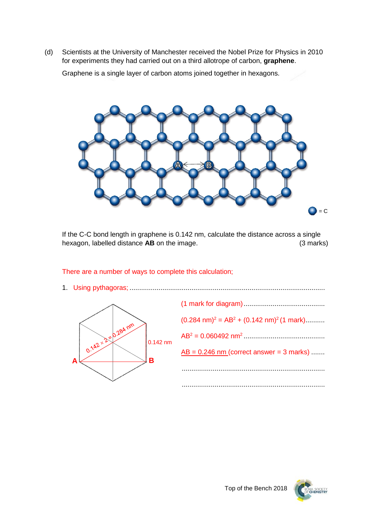(d) Scientists at the University of Manchester received the Nobel Prize for Physics in 2010 for experiments they had carried out on a third allotrope of carbon, **graphene**.

Graphene is a single layer of carbon atoms joined together in hexagons.



If the C-C bond length in graphene is 0.142 nm, calculate the distance across a single hexagon, labelled distance **AB** on the image. (3 marks)

There are a number of ways to complete this calculation;